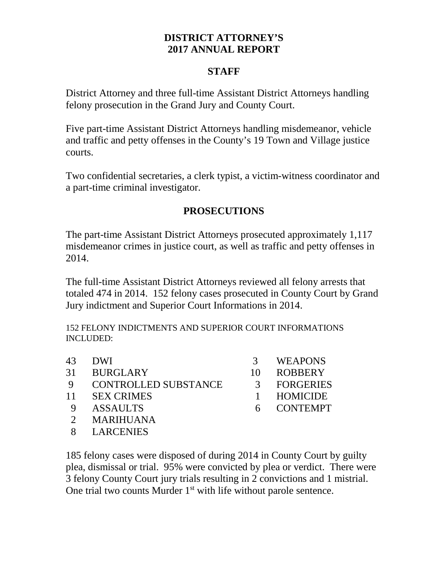## **DISTRICT ATTORNEY'S 2017 ANNUAL REPORT**

#### **STAFF**

District Attorney and three full-time Assistant District Attorneys handling felony prosecution in the Grand Jury and County Court.

Five part-time Assistant District Attorneys handling misdemeanor, vehicle and traffic and petty offenses in the County's 19 Town and Village justice courts.

Two confidential secretaries, a clerk typist, a victim-witness coordinator and a part-time criminal investigator.

# **PROSECUTIONS**

The part-time Assistant District Attorneys prosecuted approximately 1,117 misdemeanor crimes in justice court, as well as traffic and petty offenses in 2014.

The full-time Assistant District Attorneys reviewed all felony arrests that totaled 474 in 2014. 152 felony cases prosecuted in County Court by Grand Jury indictment and Superior Court Informations in 2014.

152 FELONY INDICTMENTS AND SUPERIOR COURT INFORMATIONS INCLUDED:

| 43 | <b>DWI</b>                  |    | <b>WEAPONS</b>   |
|----|-----------------------------|----|------------------|
| 31 | <b>BURGLARY</b>             | 10 | <b>ROBBERY</b>   |
| -9 | <b>CONTROLLED SUBSTANCE</b> | 3  | <b>FORGERIES</b> |
| 11 | <b>SEX CRIMES</b>           |    | HOMICIDE         |
|    | <b>ASSAULTS</b>             | 6  | <b>CONTEMPT</b>  |
|    | <b>MARIHUANA</b>            |    |                  |
|    | <b>LARCENIES</b>            |    |                  |
|    |                             |    |                  |

185 felony cases were disposed of during 2014 in County Court by guilty plea, dismissal or trial. 95% were convicted by plea or verdict. There were 3 felony County Court jury trials resulting in 2 convictions and 1 mistrial. One trial two counts Murder  $1<sup>st</sup>$  with life without parole sentence.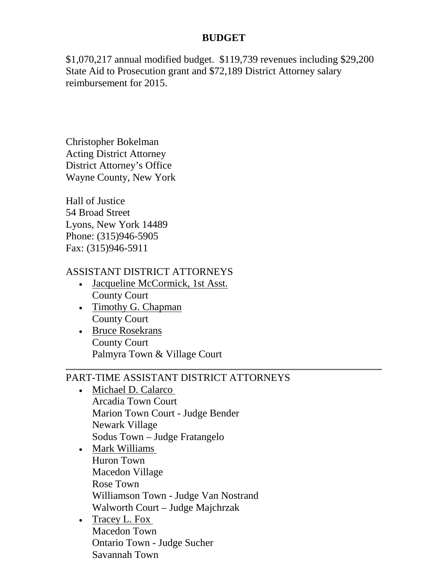## **BUDGET**

\$1,070,217 annual modified budget. \$119,739 revenues including \$29,200 State Aid to Prosecution grant and \$72,189 District Attorney salary reimbursement for 2015.

Christopher Bokelman Acting District Attorney District Attorney's Office Wayne County, New York

Hall of Justice 54 Broad Street Lyons, New York 14489 Phone: (315)946-5905 Fax: (315)946-5911

#### ASSISTANT DISTRICT ATTORNEYS

- Jacqueline McCormick, 1st Asst. County Court
- Timothy G. Chapman County Court
- Bruce Rosekrans County Court Palmyra Town & Village Court

# PART-TIME ASSISTANT DISTRICT ATTORNEYS

- Michael D. Calarco Arcadia Town Court Marion Town Court - Judge Bender Newark Village Sodus Town – Judge Fratangelo
- Mark Williams Huron Town Macedon Village Rose Town Williamson Town - Judge Van Nostrand Walworth Court – Judge Majchrzak
- Tracey L. Fox Macedon Town Ontario Town - Judge Sucher Savannah Town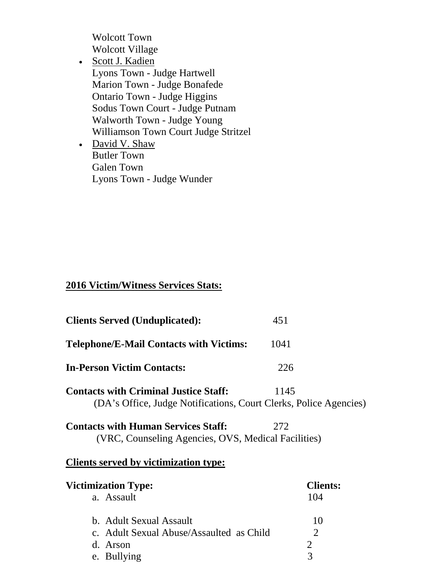Wolcott Town Wolcott Village

- Scott J. Kadien Lyons Town - Judge Hartwell Marion Town - Judge Bonafede Ontario Town - Judge Higgins Sodus Town Court - Judge Putnam Walworth Town - Judge Young Williamson Town Court Judge Stritzel
- David V. Shaw Butler Town Galen Town Lyons Town - Judge Wunder

### **2016 Victim/Witness Services Stats:**

| <b>Clients Served (Unduplicated):</b>                                                                             | 451                    |
|-------------------------------------------------------------------------------------------------------------------|------------------------|
| <b>Telephone/E-Mail Contacts with Victims:</b>                                                                    | 1041                   |
| <b>In-Person Victim Contacts:</b>                                                                                 | 226                    |
| <b>Contacts with Criminal Justice Staff:</b><br>(DA's Office, Judge Notifications, Court Clerks, Police Agencies) | 1145                   |
| <b>Contacts with Human Services Staff:</b><br>(VRC, Counseling Agencies, OVS, Medical Facilities)                 | 272                    |
| Clients served by victimization type:                                                                             |                        |
| <b>Victimization Type:</b><br>a. Assault                                                                          | <b>Clients:</b><br>104 |
| b. Adult Sexual Assault<br>c. Adult Sexual Abuse/Assaulted as Child                                               | 10<br>2                |
| d. Arson<br>e. Bullying                                                                                           | 2<br>3                 |